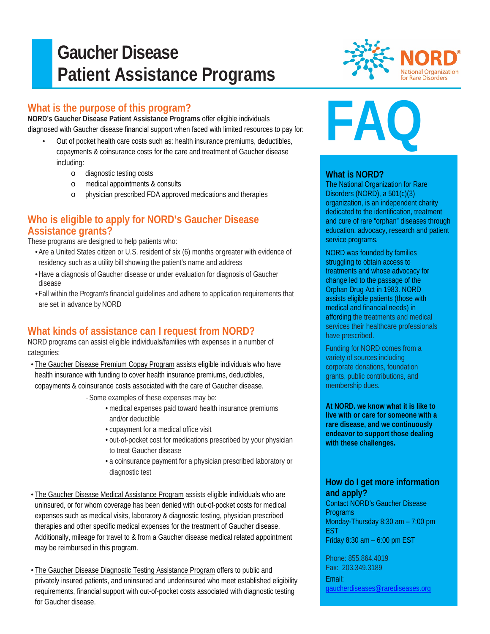# **Gaucher Disease Patient Assistance Programs**

# **What is the purpose of this program?**

Ī

**NORD's Gaucher Disease Patient Assistance Programs** offer eligible individuals diagnosed with Gaucher disease financial support when faced with limited resources to pay for:

- Out of pocket health care costs such as: health insurance premiums, deductibles, copayments & coinsurance costs for the care and treatment of Gaucher disease including:
	- o diagnostic testing costs
	- o medical appointments & consults
	- o physician prescribed FDA approved medications and therapies

### **Who is eligible to apply for NORD's Gaucher Disease Assistance grants?**

These programs are designed to help patients who:

- •Are a United States citizen or U.S. resident of six (6) months orgreater with evidence of residency such as a utility bill showing the patient's name and address
- •Have a diagnosis of Gaucher disease or under evaluation for diagnosis of Gaucher disease
- •Fall within the Program's financial guidelines and adhere to application requirements that are set in advance by NORD

## **What kinds of assistance can I request from NORD?**

NORD programs can assist eligible individuals/families with expenses in a number of categories:

- The Gaucher Disease Premium Copay Program assists eligible individuals who have health insurance with funding to cover health insurance premiums, deductibles, copayments & coinsurance costs associated with the care of Gaucher disease.
	- *-*Some examples of these expenses may be:
		- medical expenses paid toward health insurance premiums and/or deductible
		- copayment for a medical office visit
		- out-of-pocket cost for medications prescribed by your physician to treat Gaucher disease
		- a coinsurance payment for a physician prescribed laboratory or diagnostic test
- The Gaucher Disease Medical Assistance Program assists eligible individuals who are uninsured, or for whom coverage has been denied with out-of-pocket costs for medical expenses such as medical visits, laboratory & diagnostic testing, physician prescribed therapies and other specific medical expenses for the treatment of Gaucher disease. Additionally, mileage for travel to & from a Gaucher disease medical related appointment may be reimbursed in this program.
- The Gaucher Disease Diagnostic Testing Assistance Program offers to public and privately insured patients, and uninsured and underinsured who meet established eligibility requirements, financial support with out-of-pocket costs associated with diagnostic testing for Gaucher disease.



# **FAQ**

#### **What is NORD?**

The National Organization for Rare Disorders (NORD), a 501(c)(3) organization, is an independent charity dedicated to the identification, treatment and cure of rare "orphan" diseases through education, advocacy, research and patient service programs.

NORD was founded by families struggling to obtain access to treatments and whose advocacy for change led to the passage of the Orphan Drug Act in 1983. NORD assists eligible patients (those with medical and financial needs) in affording the treatments and medical services their healthcare professionals have prescribed.

Funding for NORD comes from a variety of sources including corporate donations, foundation grants, public contributions, and membership dues.

**At NORD. we know what it is like to live with or care for someone with a rare disease, and we continuously endeavor to support those dealing with these challenges.**

### **How do I get more information and apply?**

Contact NORD's Gaucher Disease **Programs** Monday-Thursday 8:30 am – 7:00 pm EST Friday 8:30 am – 6:00 pm EST

Phone: 855.864.4019 Fax: 203.349.3189 Email: [gaucherdiseases@rarediseases.org](mailto:gaucherdiseases@rarediseases.org)